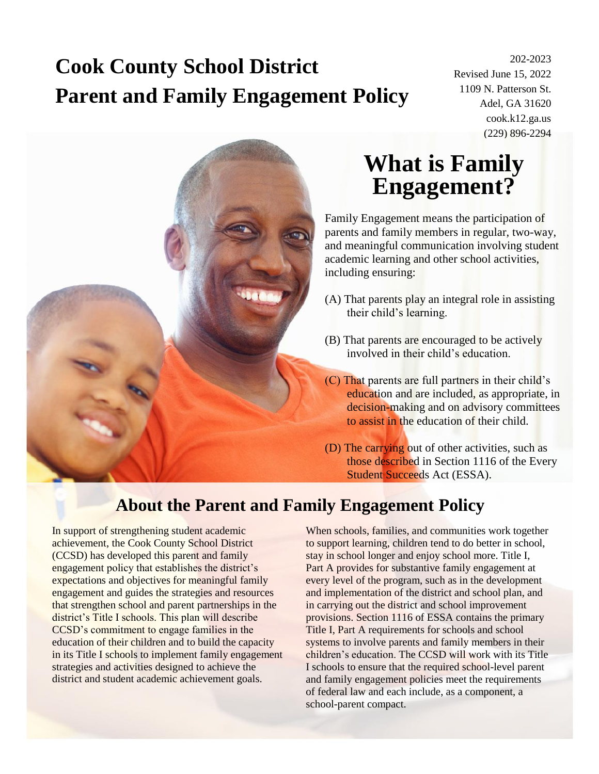# **Cook County School District Parent and Family Engagement Policy**

202-2023 Revised June 15, 2022 1109 N. Patterson St. Adel, GA 31620 cook.k12.ga.us (229) 896-2294



## **What is Family Engagement?**

Family Engagement means the participation of parents and family members in regular, two-way, and meaningful communication involving student academic learning and other school activities, including ensuring:

- (A) That parents play an integral role in assisting their child's learning.
- (B) That parents are encouraged to be actively involved in their child's education.
- (C) That parents are full partners in their child's education and are included, as appropriate, in decision-making and on advisory committees to assist in the education of their child.
- (D) The carrying out of other activities, such as those described in Section 1116 of the Every Student Succeeds Act (ESSA).

#### **About the Parent and Family Engagement Policy**

In support of strengthening student academic achievement, the Cook County School District (CCSD) has developed this parent and family engagement policy that establishes the district's expectations and objectives for meaningful family engagement and guides the strategies and resources that strengthen school and parent partnerships in the district's Title I schools. This plan will describe CCSD's commitment to engage families in the education of their children and to build the capacity in its Title I schools to implement family engagement strategies and activities designed to achieve the district and student academic achievement goals.

When schools, families, and communities work together to support learning, children tend to do better in school, stay in school longer and enjoy school more. Title I, Part A provides for substantive family engagement at every level of the program, such as in the development and implementation of the district and school plan, and in carrying out the district and school improvement provisions. Section 1116 of ESSA contains the primary Title I, Part A requirements for schools and school systems to involve parents and family members in their children's education. The CCSD will work with its Title I schools to ensure that the required school-level parent and family engagement policies meet the requirements of federal law and each include, as a component, a school-parent compact.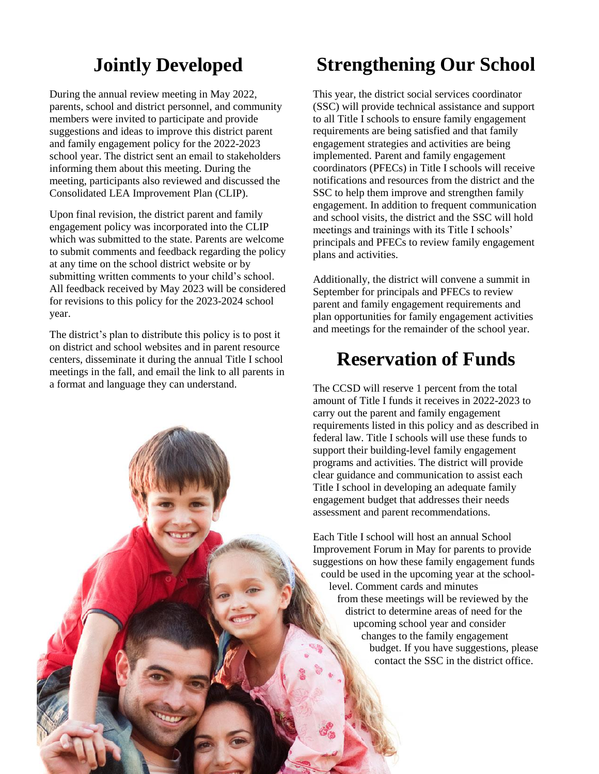## **Jointly Developed**

During the annual review meeting in May 2022, parents, school and district personnel, and community members were invited to participate and provide suggestions and ideas to improve this district parent and family engagement policy for the 2022-2023 school year. The district sent an email to stakeholders informing them about this meeting. During the meeting, participants also reviewed and discussed the Consolidated LEA Improvement Plan (CLIP).

Upon final revision, the district parent and family engagement policy was incorporated into the CLIP which was submitted to the state. Parents are welcome to submit comments and feedback regarding the policy at any time on the school district website or by submitting written comments to your child's school. All feedback received by May 2023 will be considered for revisions to this policy for the 2023-2024 school year.

The district's plan to distribute this policy is to post it on district and school websites and in parent resource centers, disseminate it during the annual Title I school meetings in the fall, and email the link to all parents in a format and language they can understand.

## **Strengthening Our School**

This year, the district social services coordinator (SSC) will provide technical assistance and support to all Title I schools to ensure family engagement requirements are being satisfied and that family engagement strategies and activities are being implemented. Parent and family engagement coordinators (PFECs) in Title I schools will receive notifications and resources from the district and the SSC to help them improve and strengthen family engagement. In addition to frequent communication and school visits, the district and the SSC will hold meetings and trainings with its Title I schools' principals and PFECs to review family engagement plans and activities.

Additionally, the district will convene a summit in September for principals and PFECs to review parent and family engagement requirements and plan opportunities for family engagement activities and meetings for the remainder of the school year.

#### **Reservation of Funds**

The CCSD will reserve 1 percent from the total amount of Title I funds it receives in 2022-2023 to carry out the parent and family engagement requirements listed in this policy and as described in federal law. Title I schools will use these funds to support their building-level family engagement programs and activities. The district will provide clear guidance and communication to assist each Title I school in developing an adequate family engagement budget that addresses their needs assessment and parent recommendations.

Each Title I school will host an annual School Improvement Forum in May for parents to provide suggestions on how these family engagement funds could be used in the upcoming year at the school level. Comment cards and minutes from these meetings will be reviewed by the district to determine areas of need for the upcoming school year and consider changes to the family engagement budget. If you have suggestions, please contact the SSC in the district office.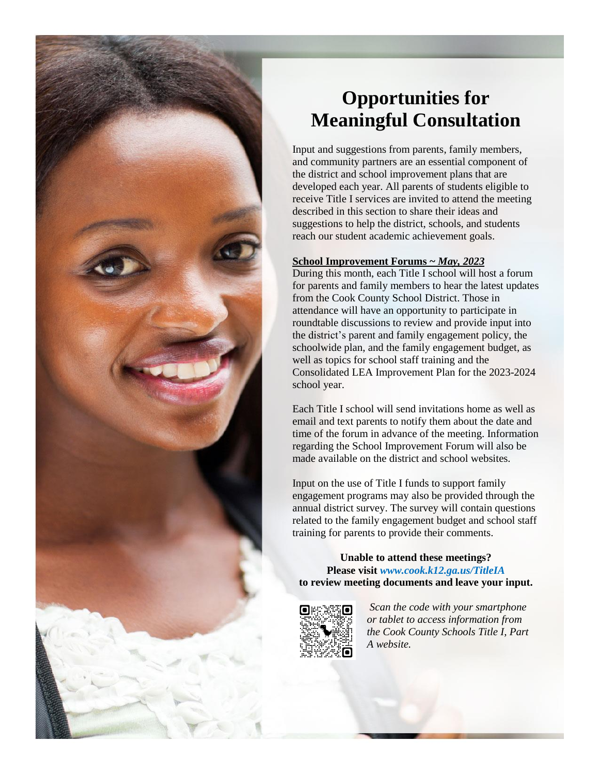

## **Opportunities for Meaningful Consultation**

Input and suggestions from parents, family members, and community partners are an essential component of the district and school improvement plans that are developed each year. All parents of students eligible to receive Title I services are invited to attend the meeting described in this section to share their ideas and suggestions to help the district, schools, and students reach our student academic achievement goals.

#### **School Improvement Forums ~** *May, 2023*

During this month, each Title I school will host a forum for parents and family members to hear the latest updates from the Cook County School District. Those in attendance will have an opportunity to participate in roundtable discussions to review and provide input into the district's parent and family engagement policy, the schoolwide plan, and the family engagement budget, as well as topics for school staff training and the Consolidated LEA Improvement Plan for the 2023-2024 school year.

Each Title I school will send invitations home as well as email and text parents to notify them about the date and time of the forum in advance of the meeting. Information regarding the School Improvement Forum will also be made available on the district and school websites.

Input on the use of Title I funds to support family engagement programs may also be provided through the annual district survey. The survey will contain questions related to the family engagement budget and school staff training for parents to provide their comments.

#### **Unable to attend these meetings? Please visit** *www.cook.k12.ga.us/TitleIA* **to review meeting documents and leave your input.**



*Scan the code with your smartphone or tablet to access information from the Cook County Schools Title I, Part A website.*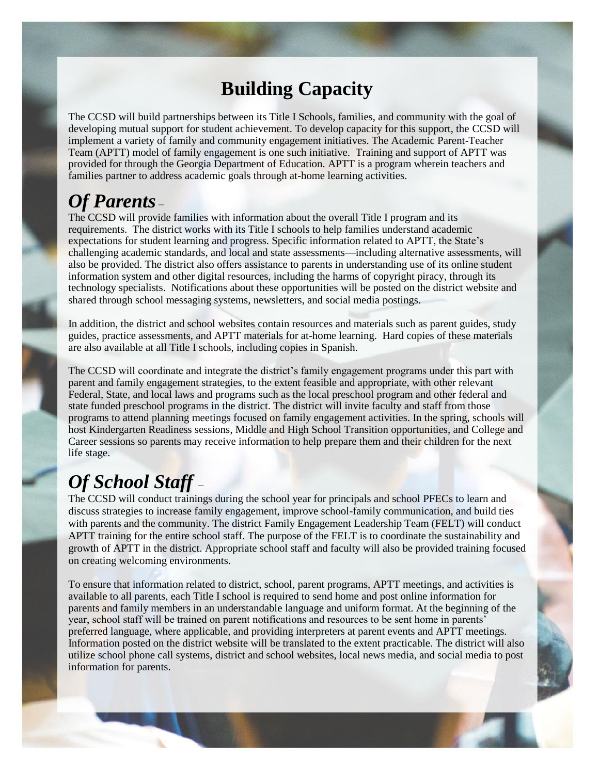#### **Building Capacity**

The CCSD will build partnerships between its Title I Schools, families, and community with the goal of developing mutual support for student achievement. To develop capacity for this support, the CCSD will implement a variety of family and community engagement initiatives. The Academic Parent-Teacher Team (APTT) model of family engagement is one such initiative. Training and support of APTT was provided for through the Georgia Department of Education. APTT is a program wherein teachers and families partner to address academic goals through at-home learning activities.

#### *Of Parents* –

The CCSD will provide families with information about the overall Title I program and its requirements. The district works with its Title I schools to help families understand academic expectations for student learning and progress. Specific information related to APTT, the State's challenging academic standards, and local and state assessments—including alternative assessments, will also be provided. The district also offers assistance to parents in understanding use of its online student information system and other digital resources, including the harms of copyright piracy, through its technology specialists. Notifications about these opportunities will be posted on the district website and shared through school messaging systems, newsletters, and social media postings.

In addition, the district and school websites contain resources and materials such as parent guides, study guides, practice assessments, and APTT materials for at-home learning. Hard copies of these materials are also available at all Title I schools, including copies in Spanish.

The CCSD will coordinate and integrate the district's family engagement programs under this part with parent and family engagement strategies, to the extent feasible and appropriate, with other relevant Federal, State, and local laws and programs such as the local preschool program and other federal and state funded preschool programs in the district. The district will invite faculty and staff from those programs to attend planning meetings focused on family engagement activities. In the spring, schools will host Kindergarten Readiness sessions, Middle and High School Transition opportunities, and College and Career sessions so parents may receive information to help prepare them and their children for the next life stage.

# *Of School Staff* –

The CCSD will conduct trainings during the school year for principals and school PFECs to learn and discuss strategies to increase family engagement, improve school-family communication, and build ties with parents and the community. The district Family Engagement Leadership Team (FELT) will conduct APTT training for the entire school staff. The purpose of the FELT is to coordinate the sustainability and growth of APTT in the district. Appropriate school staff and faculty will also be provided training focused on creating welcoming environments.

To ensure that information related to district, school, parent programs, APTT meetings, and activities is available to all parents, each Title I school is required to send home and post online information for parents and family members in an understandable language and uniform format. At the beginning of the year, school staff will be trained on parent notifications and resources to be sent home in parents' preferred language, where applicable, and providing interpreters at parent events and APTT meetings. Information posted on the district website will be translated to the extent practicable. The district will also utilize school phone call systems, district and school websites, local news media, and social media to post information for parents.